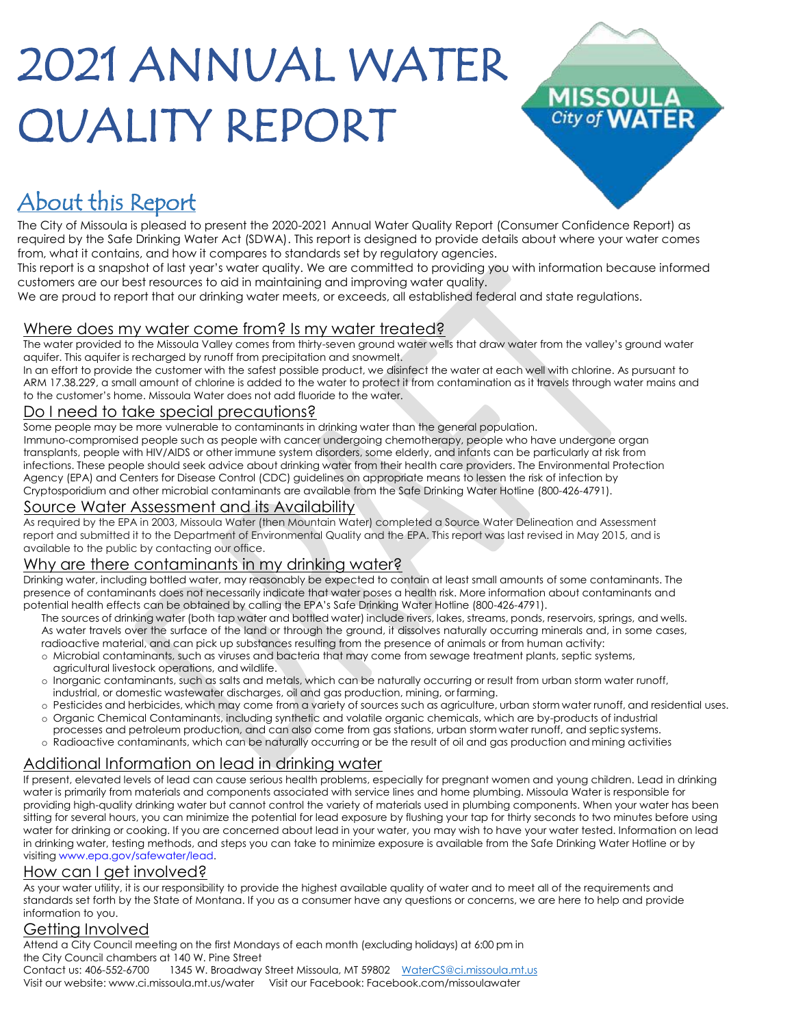# 2021 ANNUAL WATER QUALITY REPORT



### About this Report

The City of Missoula is pleased to present the 2020-2021 Annual Water Quality Report (Consumer Confidence Report) as required by the Safe Drinking Water Act (SDWA). This report is designed to provide details about where your water comes from, what it contains, and how it compares to standards set by regulatory agencies.

This report is a snapshot of last year's water quality. We are committed to providing you with information because informed customers are our best resources to aid in maintaining and improving water quality.

We are proud to report that our drinking water meets, or exceeds, all established federal and state regulations.

#### Where does my water come from? Is my water treated?

The water provided to the Missoula Valley comes from thirty-seven ground water wells that draw water from the valley's ground water aquifer. This aquifer is recharged by runoff from precipitation and snowmelt.

In an effort to provide the customer with the safest possible product, we disinfect the water at each well with chlorine. As pursuant to ARM 17.38.229, a small amount of chlorine is added to the water to protect it from contamination as it travels through water mains and to the customer's home. Missoula Water does not add fluoride to the water.

#### Do I need to take special precautions?

Some people may be more vulnerable to contaminants in drinking water than the general population.

Immuno-compromised people such as people with cancer undergoing chemotherapy, people who have undergone organ transplants, people with HIV/AIDS or other immune system disorders, some elderly, and infants can be particularly at risk from infections. These people should seek advice about drinking water from their health care providers. The Environmental Protection Agency (EPA) and Centers for Disease Control (CDC) guidelines on appropriate means to lessen the risk of infection by Cryptosporidium and other microbial contaminants are available from the Safe Drinking Water Hotline (800-426-4791).

#### Source Water Assessment and its Availability

As required by the EPA in 2003, Missoula Water (then Mountain Water) completed a Source Water Delineation and Assessment report and submitted it to the Department of Environmental Quality and the EPA. This report was last revised in May 2015, and is available to the public by contacting our office.

#### Why are there contaminants in my drinking water?

Drinking water, including bottled water, may reasonably be expected to contain at least small amounts of some contaminants. The presence of contaminants does not necessarily indicate that water poses a health risk. More information about contaminants and potential health effects can be obtained by calling the EPA's Safe Drinking Water Hotline (800-426-4791).

- The sources of drinking water (both tap water and bottled water) include rivers, lakes, streams, ponds, reservoirs, springs, and wells. As water travels over the surface of the land or through the ground, it dissolves naturally occurring minerals and, in some cases,
- radioactive material, and can pick up substances resulting from the presence of animals or from human activity: o Microbial contaminants, such as viruses and bacteria that may come from sewage treatment plants, septic systems, agricultural livestock operations, and wildlife.
- o Inorganic contaminants, such as salts and metals, which can be naturally occurring or result from urban storm water runoff, industrial, or domestic wastewater discharges, oil and gas production, mining, or farming.
- o Pesticides and herbicides, which may come from a variety of sources such as agriculture, urban storm water runoff, and residential uses. o Organic Chemical Contaminants, including synthetic and volatile organic chemicals, which are by-products of industrial
- processes and petroleum production, and can also come from gas stations, urban storm water runoff, and septicsystems.
- o Radioactive contaminants, which can be naturally occurring or be the result of oil and gas production and mining activities

#### Additional Information on lead in drinking water

If present, elevated levels of lead can cause serious health problems, especially for pregnant women and young children. Lead in drinking water is primarily from materials and components associated with service lines and home plumbing. Missoula Water is responsible for providing high-quality drinking water but cannot control the variety of materials used in plumbing components. When your water has been sitting for several hours, you can minimize the potential for lead exposure by flushing your tap for thirty seconds to two minutes before using water for drinking or cooking. If you are concerned about lead in your water, you may wish to have your water tested. Information on lead in drinking water, testing methods, and steps you can take to minimize exposure is available from the Safe Drinking Water Hotline or by visitin[g www.epa.gov/safewater/lead.](https://www.epa.gov/ground-water-and-drinking-water/basic-information-about-lead-drinking-water)

#### How can I get involved?

As your water utility, it is our responsibility to provide the highest available quality of water and to meet all of the requirements and standards set forth by the State of Montana. If you as a consumer have any questions or concerns, we are here to help and provide information to you.

#### Getting Involved

Attend a City Council meeting on the first Mondays of each month (excluding holidays) at 6:00 pm in the City Council chambers at 140 W. Pine Street

Contact us: 406-552-6700 1345 W. Broadway Street Missoula, MT 59802 [WaterCS@ci.missoula.mt.us](mailto:WaterCS@ci.missoula.mt.us) Visit our website: [www.ci.missoula.mt.us/water](http://www.ci.missoula.mt.us/water) Visit our Facebook: Facebook.com/missoulawater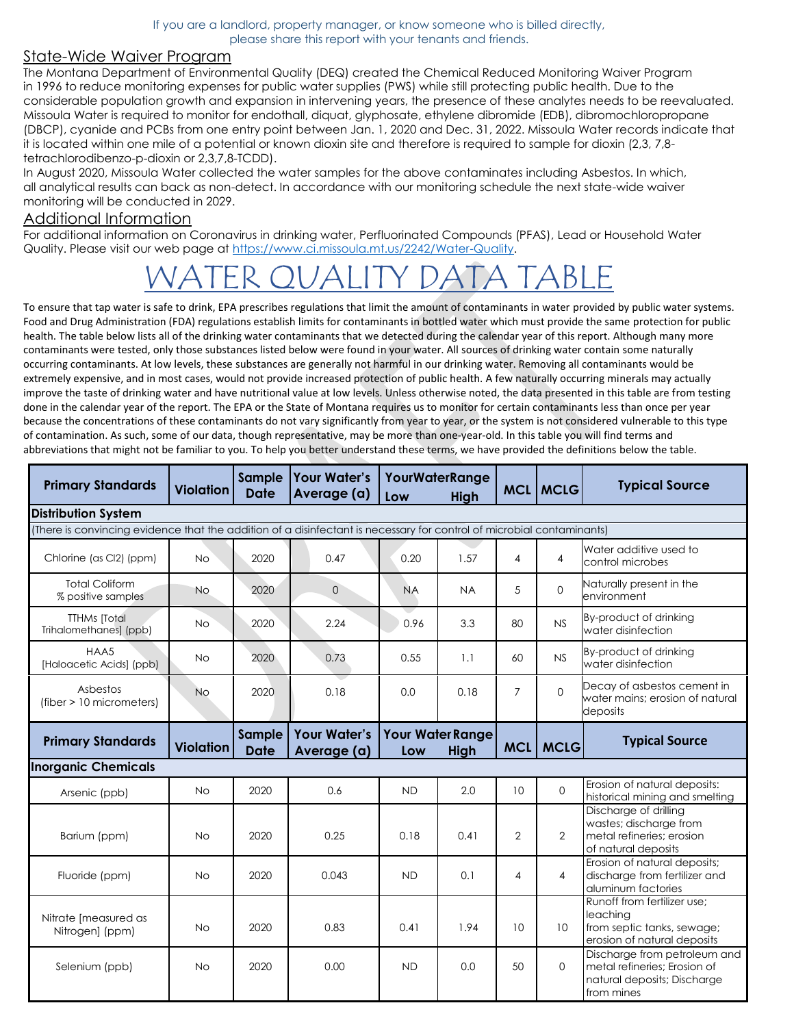If you are a landlord, property manager, or know someone who is billed directly, please share this report with your tenants and friends.

#### State-Wide Waiver Program

The Montana Department of Environmental Quality (DEQ) created the Chemical Reduced Monitoring Waiver Program in 1996 to reduce monitoring expenses for public water supplies (PWS) while still protecting public health. Due to the considerable population growth and expansion in intervening years, the presence of these analytes needs to be reevaluated. Missoula Water is required to monitor for endothall, diquat, glyphosate, ethylene dibromide (EDB), dibromochloropropane (DBCP), cyanide and PCBs from one entry point between Jan. 1, 2020 and Dec. 31, 2022. Missoula Water records indicate that it is located within one mile of a potential or known dioxin site and therefore is required to sample for dioxin (2,3, 7,8 tetrachlorodibenzo-p-dioxin or 2,3,7,8-TCDD).

In August 2020, Missoula Water collected the water samples for the above contaminates including Asbestos. In which, all analytical results can back as non-detect. In accordance with our monitoring schedule the next state-wide waiver monitoring will be conducted in 2029.

#### Additional Information

For additional information on Coronavirus in drinking water, Perfluorinated Compounds (PFAS), Lead or Household Water Quality. Please visit our web page at [https://www.ci.missoula.mt.us/2242/Water-Quality.](https://www.ci.missoula.mt.us/2242/Water-Quality)

## WATER QUALITY DATA TABLE

To ensure that tap water is safe to drink, EPA prescribes regulations that limit the amount of contaminants in water provided by public water systems. Food and Drug Administration (FDA) regulations establish limits for contaminants in bottled water which must provide the same protection for public health. The table below lists all of the drinking water contaminants that we detected during the calendar year of this report. Although many more contaminants were tested, only those substances listed below were found in your water. All sources of drinking water contain some naturally occurring contaminants. At low levels, these substances are generally not harmful in our drinking water. Removing all contaminants would be extremely expensive, and in most cases, would not provide increased protection of public health. A few naturally occurring minerals may actually improve the taste of drinking water and have nutritional value at low levels. Unless otherwise noted, the data presented in this table are from testing done in the calendar year of the report. The EPA or the State of Montana requires us to monitor for certain contaminants less than once per year because the concentrations of these contaminants do not vary significantly from year to year, or the system is not considered vulnerable to this type of contamination. As such, some of our data, though representative, may be more than one-year-old. In this table you will find terms and abbreviations that might not be familiar to you. To help you better understand these terms, we have provided the definitions below the table.

| <b>Primary Standards</b>                                                                                              | <b>Violation</b> | Sample<br><b>Date</b>        | <b>Your Water's</b><br>Average (a) | <b>YourWaterRange</b><br>High<br>Low |                                 |                | <b>MCL   MCLG</b> | <b>Typical Source</b>                                                                                     |  |  |
|-----------------------------------------------------------------------------------------------------------------------|------------------|------------------------------|------------------------------------|--------------------------------------|---------------------------------|----------------|-------------------|-----------------------------------------------------------------------------------------------------------|--|--|
| <b>Distribution System</b>                                                                                            |                  |                              |                                    |                                      |                                 |                |                   |                                                                                                           |  |  |
| (There is convincing evidence that the addition of a disinfectant is necessary for control of microbial contaminants) |                  |                              |                                    |                                      |                                 |                |                   |                                                                                                           |  |  |
| Chlorine (as Cl2) (ppm)                                                                                               | No.              | 2020                         | 0.47                               | 0.20                                 | 1.57                            | 4              | 4                 | Water additive used to<br>control microbes                                                                |  |  |
| <b>Total Coliform</b><br>% positive samples                                                                           | <b>No</b>        | 2020                         | $\overline{O}$                     | <b>NA</b>                            | <b>NA</b>                       | 5              | $\Omega$          | Naturally present in the<br>environment                                                                   |  |  |
| <b>TTHMs</b> [Total<br>Trihalomethanes] (ppb)                                                                         | <b>No</b>        | 2020                         | 2.24                               | 0.96                                 | 3.3                             | 80             | NS                | By-product of drinking<br>water disinfection                                                              |  |  |
| HAA5<br>[Haloacetic Acids] (ppb)                                                                                      | No.              | 2020                         | 0.73                               | 0.55                                 | 1.1                             | 60             | NS                | By-product of drinking<br>water disinfection                                                              |  |  |
| Asbestos<br>(fiber > 10 micrometers)                                                                                  | <b>No</b>        | 2020                         | 0.18                               | 0.0                                  | 0.18                            | $\overline{7}$ | $\Omega$          | Decay of asbestos cement in<br>water mains; erosion of natural<br>deposits                                |  |  |
| <b>Primary Standards</b>                                                                                              | <b>Violation</b> | <b>Sample</b><br><b>Date</b> | <b>Your Water's</b><br>Average (a) | Low                                  | Your Water Range<br><b>High</b> | MCL            | <b>MCLG</b>       | <b>Typical Source</b>                                                                                     |  |  |
| <b>Inorganic Chemicals</b>                                                                                            |                  |                              |                                    |                                      |                                 |                |                   |                                                                                                           |  |  |
| Arsenic (ppb)                                                                                                         | No.              | 2020                         | 0.6                                | <b>ND</b>                            | 2.0                             | 10             | $\Omega$          | Erosion of natural deposits:<br>historical mining and smelting                                            |  |  |
| Barium (ppm)                                                                                                          | <b>No</b>        | 2020                         | 0.25                               | 0.18                                 | 0.41                            | $\overline{2}$ | $\overline{2}$    | Discharge of drilling<br>wastes; discharge from<br>metal refineries: erosion<br>of natural deposits       |  |  |
| Fluoride (ppm)                                                                                                        | No               | 2020                         | 0.043                              | <b>ND</b>                            | 0.1                             | $\overline{4}$ | $\overline{4}$    | Erosion of natural deposits;<br>discharge from fertilizer and<br>aluminum factories                       |  |  |
| Nitrate [measured as<br>Nitrogen] (ppm)                                                                               | No               | 2020                         | 0.83                               | 0.41                                 | 1.94                            | 10             | 10                | Runoff from fertilizer use;<br>leaching<br>from septic tanks, sewage;<br>erosion of natural deposits      |  |  |
| Selenium (ppb)                                                                                                        | <b>No</b>        | 2020                         | 0.00                               | <b>ND</b>                            | 0.0                             | 50             | $\Omega$          | Discharge from petroleum and<br>metal refineries; Erosion of<br>natural deposits; Discharge<br>from mines |  |  |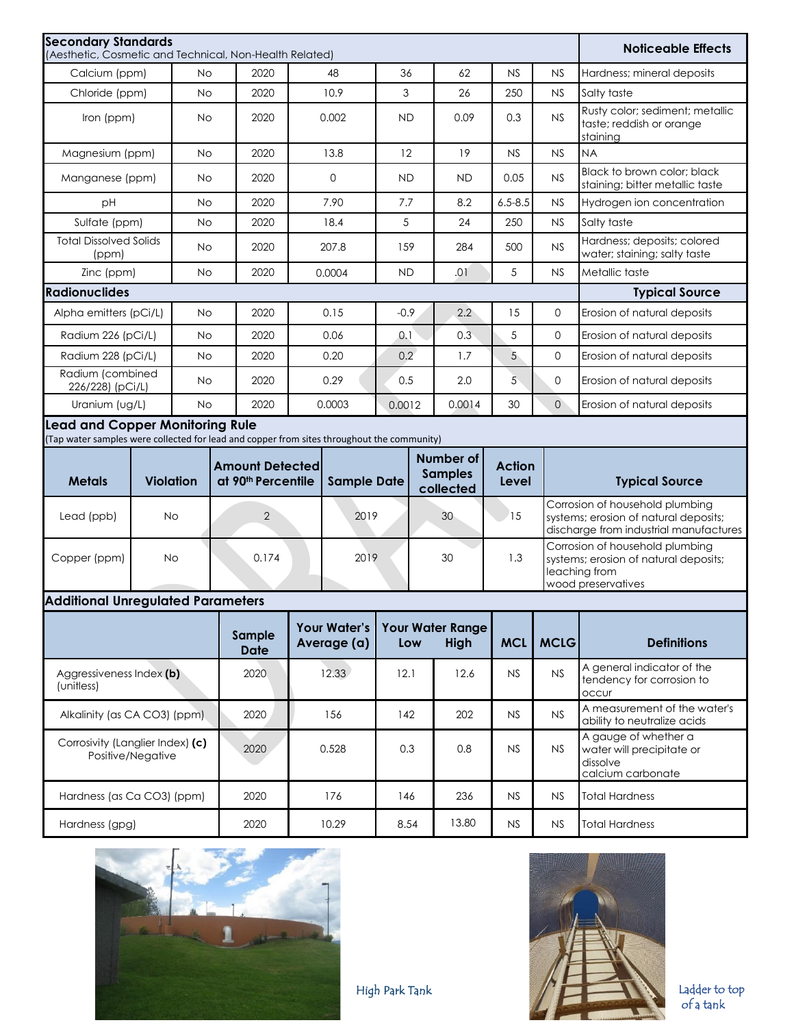| <b>Secondary Standards</b><br>(Aesthetic, Cosmetic and Technical, Non-Health Related)                                                |                                                                                                                                                                          |           |      |                       |       |          |                       |        |           | <b>Noticeable Effects</b> |                             |                                                                         |
|--------------------------------------------------------------------------------------------------------------------------------------|--------------------------------------------------------------------------------------------------------------------------------------------------------------------------|-----------|------|-----------------------|-------|----------|-----------------------|--------|-----------|---------------------------|-----------------------------|-------------------------------------------------------------------------|
| Calcium (ppm)                                                                                                                        |                                                                                                                                                                          | <b>No</b> |      | 2020                  |       | 48       | 36                    |        | 62        | <b>NS</b>                 | NS                          | Hardness; mineral deposits                                              |
| Chloride (ppm)                                                                                                                       |                                                                                                                                                                          | <b>No</b> |      | 2020                  |       | 10.9     | 3                     |        | 26        | 250                       | <b>NS</b>                   | Salty taste                                                             |
|                                                                                                                                      | Iron (ppm)<br><b>No</b>                                                                                                                                                  |           |      | 2020                  |       | 0.002    | <b>ND</b>             |        | 0.09      | 0.3                       | NS                          | Rusty color; sediment; metallic<br>taste; reddish or orange<br>staining |
| Magnesium (ppm)                                                                                                                      |                                                                                                                                                                          | <b>No</b> |      | 2020                  |       | 13.8     | 12                    |        | 19        | <b>NS</b>                 | <b>NS</b>                   | <b>NA</b>                                                               |
| Manganese (ppm)                                                                                                                      |                                                                                                                                                                          | <b>No</b> |      | 2020                  |       | $\Omega$ | <b>ND</b>             |        | <b>ND</b> | 0.05                      | NS                          | Black to brown color: black<br>staining; bitter metallic taste          |
| рH                                                                                                                                   |                                                                                                                                                                          | <b>No</b> |      | 2020                  |       | 7.90     | 7.7                   |        | 8.2       | $6.5 - 8.5$               | NS                          | Hydrogen ion concentration                                              |
| Sulfate (ppm)                                                                                                                        |                                                                                                                                                                          | <b>No</b> |      | 2020                  |       | 18.4     | 5                     |        | 24        | 250                       | <b>NS</b>                   | Salty taste                                                             |
| <b>Total Dissolved Solids</b><br>(ppm)                                                                                               |                                                                                                                                                                          | <b>No</b> |      | 2020                  | 207.8 |          | 159                   |        | 284       | 500                       | NS                          | Hardness; deposits; colored<br>water; staining; salty taste             |
| Zinc (ppm)                                                                                                                           |                                                                                                                                                                          | <b>No</b> |      | 2020                  |       | 0.0004   | <b>ND</b>             |        | .01       | 5                         | NS                          | Metallic taste                                                          |
| <b>Radionuclides</b>                                                                                                                 |                                                                                                                                                                          |           |      |                       |       |          | <b>Typical Source</b> |        |           |                           |                             |                                                                         |
| Alpha emitters (pCi/L)                                                                                                               |                                                                                                                                                                          | <b>No</b> |      | 2020                  |       | 0.15     | $-0.9$                |        | 2.2       | 15                        | $\mathbf{0}$                | Erosion of natural deposits                                             |
| Radium 226 (pCi/L)                                                                                                                   |                                                                                                                                                                          | <b>No</b> |      | 2020                  | 0.06  |          | 0.1                   |        | 0.3       | 5                         | $\mathbf{0}$                | Erosion of natural deposits                                             |
| Radium 228 (pCi/L)                                                                                                                   |                                                                                                                                                                          | <b>No</b> |      | 2020                  | 0.20  |          | 0.2                   |        | 1.7       | 5                         | $\mathbf{0}$                | Erosion of natural deposits                                             |
| Radium (combined<br>226/228) (pCi/L)                                                                                                 |                                                                                                                                                                          | <b>No</b> |      | 2020                  | 0.29  |          | 0.5                   |        | 2.0       | 5                         | $\mathbf 0$                 | Erosion of natural deposits                                             |
| Uranium (ug/L)<br><b>No</b>                                                                                                          |                                                                                                                                                                          |           | 2020 | 0.0003                |       | 0.0012   |                       | 0.0014 | 30        | $\circ$                   | Erosion of natural deposits |                                                                         |
| <b>Lead and Copper Monitoring Rule</b><br>(Tap water samples were collected for lead and copper from sites throughout the community) |                                                                                                                                                                          |           |      |                       |       |          |                       |        |           |                           |                             |                                                                         |
| <b>Metals</b>                                                                                                                        | Number of<br><b>Amount Detected</b><br><b>Action</b><br><b>Samples</b><br><b>Violation</b><br>at 90 <sup>th</sup> Percentile<br><b>Sample Date</b><br>Level<br>collected |           |      | <b>Typical Source</b> |       |          |                       |        |           |                           |                             |                                                                         |

#### **Additional Unregulated Parameters**

Lead (ppb) No 2 2019 30 15

Copper (ppm) No 0.174 2019 30 1.3

|                                                       | Sample<br><b>Date</b> | <b>Your Water's</b><br>Average (a) | Low  | Your Water Range<br>High | <b>MCL</b> | <b>MCLG</b> | <b>Definitions</b>                                                                 |
|-------------------------------------------------------|-----------------------|------------------------------------|------|--------------------------|------------|-------------|------------------------------------------------------------------------------------|
| Aggressiveness Index (b)<br>(unitless)                | 2020                  | 12.33                              | 12.1 | 12.6                     | NS         | N.S         | A general indicator of the<br>tendency for corrosion to<br><b>OCCUI</b>            |
| Alkalinity (as CA CO3) (ppm)                          | 2020                  | 156                                | 142  | 202                      | NS         | NS          | A measurement of the water's<br>ability to neutralize acids                        |
| Corrosivity (Langlier Index) (c)<br>Positive/Negative | 2020                  | 0.528                              | 0.3  | 0.8                      | NS         | NS          | A gauge of whether a<br>water will precipitate or<br>dissolve<br>calcium carbonate |
| Hardness (as Ca CO3) (ppm)                            | 2020                  | 176                                | 146  | 236                      | NS         | NS          | <b>Total Hardness</b>                                                              |
| Hardness (gpg)                                        | 2020                  | 10.29                              | 8.54 | 13.80                    | NS         | <b>NS</b>   | Total Hardness                                                                     |





Corrosion of household plumbing systems; erosion of natural deposits; discharge from industrial manufactures

Corrosion of household plumbing systems; erosion of natural deposits;

leaching from wood preservatives

Ladder to top of a tank

High Park Tank